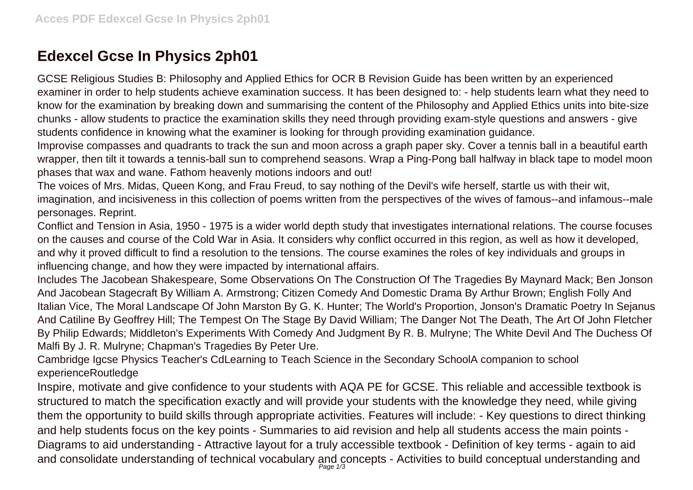## **Edexcel Gcse In Physics 2ph01**

GCSE Religious Studies B: Philosophy and Applied Ethics for OCR B Revision Guide has been written by an experienced examiner in order to help students achieve examination success. It has been designed to: - help students learn what they need to know for the examination by breaking down and summarising the content of the Philosophy and Applied Ethics units into bite-size chunks - allow students to practice the examination skills they need through providing exam-style questions and answers - give students confidence in knowing what the examiner is looking for through providing examination guidance.

Improvise compasses and quadrants to track the sun and moon across a graph paper sky. Cover a tennis ball in a beautiful earth wrapper, then tilt it towards a tennis-ball sun to comprehend seasons. Wrap a Ping-Pong ball halfway in black tape to model moon phases that wax and wane. Fathom heavenly motions indoors and out!

The voices of Mrs. Midas, Queen Kong, and Frau Freud, to say nothing of the Devil's wife herself, startle us with their wit, imagination, and incisiveness in this collection of poems written from the perspectives of the wives of famous--and infamous--male personages. Reprint.

Conflict and Tension in Asia, 1950 - 1975 is a wider world depth study that investigates international relations. The course focuses on the causes and course of the Cold War in Asia. It considers why conflict occurred in this region, as well as how it developed, and why it proved difficult to find a resolution to the tensions. The course examines the roles of key individuals and groups in influencing change, and how they were impacted by international affairs.

Includes The Jacobean Shakespeare, Some Observations On The Construction Of The Tragedies By Maynard Mack; Ben Jonson And Jacobean Stagecraft By William A. Armstrong; Citizen Comedy And Domestic Drama By Arthur Brown; English Folly And Italian Vice, The Moral Landscape Of John Marston By G. K. Hunter; The World's Proportion, Jonson's Dramatic Poetry In Sejanus And Catiline By Geoffrey Hill; The Tempest On The Stage By David William; The Danger Not The Death, The Art Of John Fletcher By Philip Edwards; Middleton's Experiments With Comedy And Judgment By R. B. Mulryne; The White Devil And The Duchess Of Malfi By J. R. Mulryne; Chapman's Tragedies By Peter Ure.

Cambridge Igcse Physics Teacher's CdLearning to Teach Science in the Secondary SchoolA companion to school experienceRoutledge

Inspire, motivate and give confidence to your students with AQA PE for GCSE. This reliable and accessible textbook is structured to match the specification exactly and will provide your students with the knowledge they need, while giving them the opportunity to build skills through appropriate activities. Features will include: - Key questions to direct thinking and help students focus on the key points - Summaries to aid revision and help all students access the main points - Diagrams to aid understanding - Attractive layout for a truly accessible textbook - Definition of key terms - again to aid and consolidate understanding of technical vocabulary and concepts - Activities to build conceptual understanding and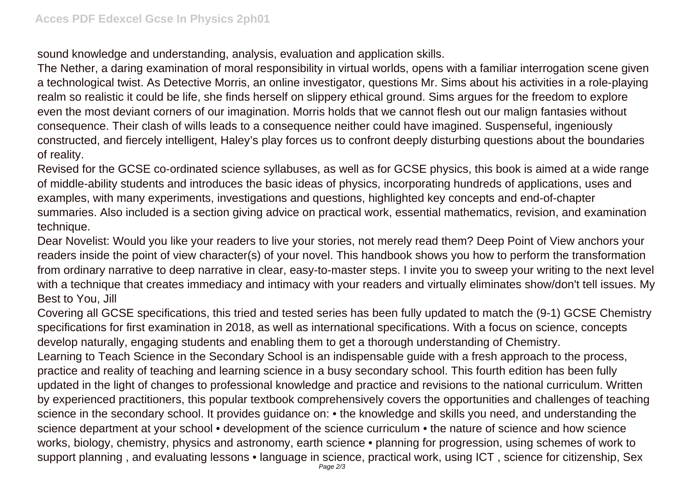sound knowledge and understanding, analysis, evaluation and application skills.

The Nether, a daring examination of moral responsibility in virtual worlds, opens with a familiar interrogation scene given a technological twist. As Detective Morris, an online investigator, questions Mr. Sims about his activities in a role-playing realm so realistic it could be life, she finds herself on slippery ethical ground. Sims argues for the freedom to explore even the most deviant corners of our imagination. Morris holds that we cannot flesh out our malign fantasies without consequence. Their clash of wills leads to a consequence neither could have imagined. Suspenseful, ingeniously constructed, and fiercely intelligent, Haley's play forces us to confront deeply disturbing questions about the boundaries of reality.

Revised for the GCSE co-ordinated science syllabuses, as well as for GCSE physics, this book is aimed at a wide range of middle-ability students and introduces the basic ideas of physics, incorporating hundreds of applications, uses and examples, with many experiments, investigations and questions, highlighted key concepts and end-of-chapter summaries. Also included is a section giving advice on practical work, essential mathematics, revision, and examination technique.

Dear Novelist: Would you like your readers to live your stories, not merely read them? Deep Point of View anchors your readers inside the point of view character(s) of your novel. This handbook shows you how to perform the transformation from ordinary narrative to deep narrative in clear, easy-to-master steps. I invite you to sweep your writing to the next level with a technique that creates immediacy and intimacy with your readers and virtually eliminates show/don't tell issues. My Best to You, Jill

Covering all GCSE specifications, this tried and tested series has been fully updated to match the (9-1) GCSE Chemistry specifications for first examination in 2018, as well as international specifications. With a focus on science, concepts develop naturally, engaging students and enabling them to get a thorough understanding of Chemistry. Learning to Teach Science in the Secondary School is an indispensable guide with a fresh approach to the process, practice and reality of teaching and learning science in a busy secondary school. This fourth edition has been fully updated in the light of changes to professional knowledge and practice and revisions to the national curriculum. Written by experienced practitioners, this popular textbook comprehensively covers the opportunities and challenges of teaching science in the secondary school. It provides guidance on: • the knowledge and skills you need, and understanding the science department at your school • development of the science curriculum • the nature of science and how science works, biology, chemistry, physics and astronomy, earth science • planning for progression, using schemes of work to support planning, and evaluating lessons • language in science, practical work, using ICT, science for citizenship, Sex